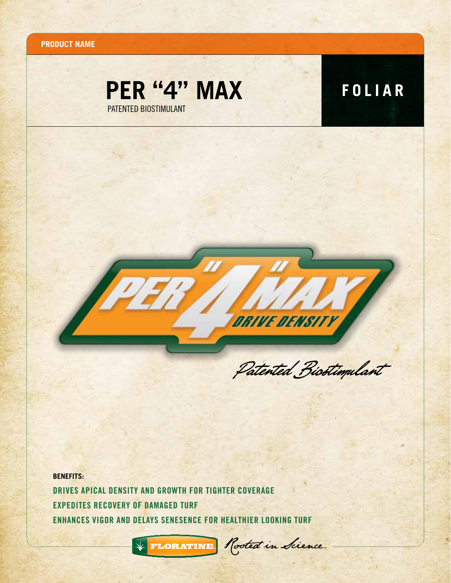**Product name**





Patented Biostimulant

**BENEFITS:** Drives apical density and Growth for tighter coverage Expedites recovery of damaged turf Enhances vigor and delays senesence for healthier looking turf